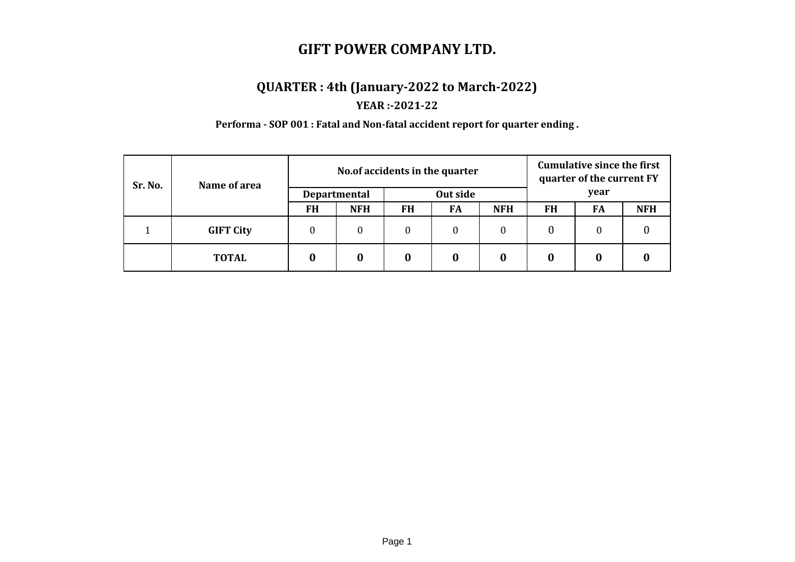# **QUARTER : 4th (January-2022 to March-2022)**

## **YEAR :-2021-22**

**Performa - SOP 001 : Fatal and Non-fatal accident report for quarter ending .**

| Sr. No. | Name of area     | No. of accidents in the quarter |                     |          |    |            | <b>Cumulative since the first</b><br>quarter of the current FY |    |            |
|---------|------------------|---------------------------------|---------------------|----------|----|------------|----------------------------------------------------------------|----|------------|
|         |                  |                                 | <b>Departmental</b> | Out side |    |            | year                                                           |    |            |
|         |                  | <b>FH</b>                       | <b>NFH</b>          | FH       | FA | <b>NFH</b> | FH                                                             | FA | <b>NFH</b> |
|         | <b>GIFT City</b> | $\theta$                        | $\theta$            | $\theta$ | 0  | $\theta$   | 0                                                              | 0  |            |
|         | <b>TOTAL</b>     | 0                               | 0                   | 0        | 0  | 0          | 0                                                              |    |            |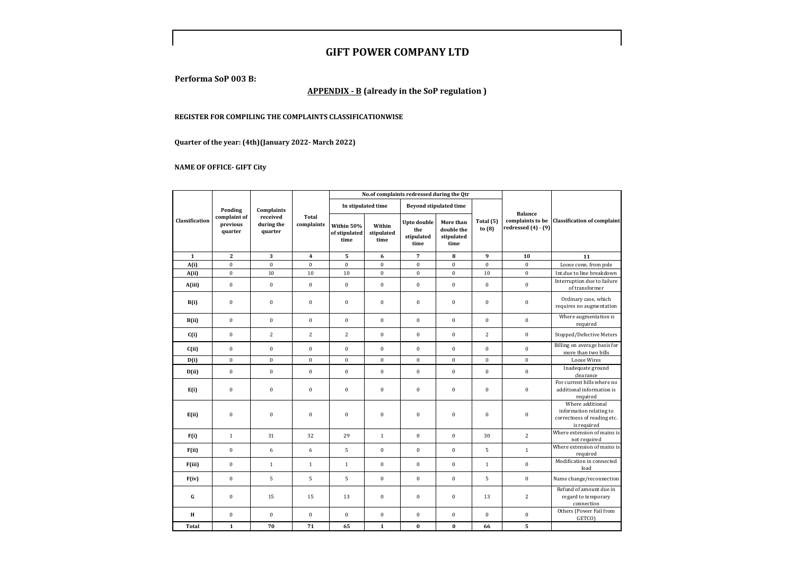**Performa SoP 003 B:**

#### **APPENDIX - B (already in the SoP regulation )**

#### **REGISTER FOR COMPILING THE COMPLAINTS CLASSIFICATIONWISE**

**Quarter of the year: (4th)(January 2022- March 2022)**

**NAME OF OFFICE- GIFT City**

|                |                                                              |                  |                         |                                     |                              | No.of complaints redressed during the Qtr       |                                               |                       |                                             |                                                                                           |  |
|----------------|--------------------------------------------------------------|------------------|-------------------------|-------------------------------------|------------------------------|-------------------------------------------------|-----------------------------------------------|-----------------------|---------------------------------------------|-------------------------------------------------------------------------------------------|--|
|                | Pending                                                      | Complaints       |                         |                                     | In stipulated time           |                                                 | <b>Beyond stipulated time</b>                 |                       | <b>Balance</b>                              |                                                                                           |  |
| Classification | complaint of<br>previous<br>during the<br>quarter<br>quarter | received         | Total<br>complaints     | Within 50%<br>of stipulated<br>time | Within<br>stipulated<br>time | <b>Upto double</b><br>the<br>stipulated<br>time | More than<br>double the<br>stipulated<br>time | Total (5)<br>to $(8)$ | complaints to be<br>redressed $(4)$ - $(9)$ | <b>Classification of complaint</b>                                                        |  |
| $\mathbf 1$    | $\mathbf{2}$                                                 | 3                | $\overline{\mathbf{4}}$ | 5                                   | 6                            | $\overline{7}$                                  | 8                                             | 9                     | 10                                          | 11                                                                                        |  |
| A(i)           | $\boldsymbol{0}$                                             | $\pmb{0}$        | $\boldsymbol{0}$        | $\mathbf{0}$                        | $\boldsymbol{0}$             | $\boldsymbol{0}$                                | $\bf{0}$                                      | $\boldsymbol{0}$      | $\boldsymbol{0}$                            | Loose conn. from pole                                                                     |  |
| A(ii)          | $\boldsymbol{0}$                                             | $10\,$           | 10                      | 10                                  | $\boldsymbol{0}$             | $\mathbf 0$                                     | $\boldsymbol{0}$                              | 10                    | $\mathbf 0$                                 | Int.due to line breakdown                                                                 |  |
| A(iii)         | $\boldsymbol{0}$                                             | $\bf{0}$         | $\pmb{0}$               | $\pmb{0}$                           | $\boldsymbol{0}$             | $\boldsymbol{0}$                                | $\boldsymbol{0}$                              | $\mathbf{0}$          | $\mathbf{0}$                                | Interruption due to failure<br>of transformer                                             |  |
| B(i)           | $\boldsymbol{0}$                                             | $\pmb{0}$        | $\pmb{0}$               | $\pmb{0}$                           | $\pmb{0}$                    | $\boldsymbol{0}$                                | $\bf{0}$                                      | $\boldsymbol{0}$      | $\boldsymbol{0}$                            | Ordinary case, which<br>requires no augmentation                                          |  |
| B(ii)          | $\boldsymbol{0}$                                             | $\pmb{0}$        | $\pmb{0}$               | $\pmb{0}$                           | $\boldsymbol{0}$             | $\boldsymbol{0}$                                | $\bf{0}$                                      | $\boldsymbol{0}$      | $\boldsymbol{0}$                            | Where augmentation is<br>required                                                         |  |
| C(i)           | $\boldsymbol{0}$                                             | $\overline{c}$   | $\overline{c}$          | $\overline{c}$                      | $\boldsymbol{0}$             | $\boldsymbol{0}$                                | $\boldsymbol{0}$                              | $\overline{c}$        | $\boldsymbol{0}$                            | Stopped/Defective Meters                                                                  |  |
| C(ii)          | $\boldsymbol{0}$                                             | $\mathbf{0}$     | $\boldsymbol{0}$        | $\boldsymbol{0}$                    | $\mathbf{0}$                 | $\mathbf{0}$                                    | $\mathbf{0}$                                  | $\mathbf{0}$          | $\mathbf{0}$                                | Billing on average basis for<br>more than two bills                                       |  |
| D(i)           | $\boldsymbol{0}$                                             | $\mathbf{0}$     | $\mathbf{0}$            | $\mathbf{0}$                        | $\mathbf{0}$                 | $\mathbf{0}$                                    | $\overline{0}$                                | $\mathbf{0}$          | $\mathbf{0}$                                | <b>Loose Wires</b>                                                                        |  |
| D(ii)          | $\boldsymbol{0}$                                             | $\pmb{0}$        | $\bf{0}$                | $\boldsymbol{0}$                    | $\boldsymbol{0}$             | $\boldsymbol{0}$                                | $\bf{0}$                                      | $\boldsymbol{0}$      | $\boldsymbol{0}$                            | Inadequate ground<br>clearance                                                            |  |
| E(i)           | $\bf{0}$                                                     | $\boldsymbol{0}$ | $\boldsymbol{0}$        | $\boldsymbol{0}$                    | $\boldsymbol{0}$             | $\boldsymbol{0}$                                | $\boldsymbol{0}$                              | $\boldsymbol{0}$      | $\boldsymbol{0}$                            | For current bills where no<br>additional information is<br>required                       |  |
| E(ii)          | $\bf{0}$                                                     | $\mathbf{0}$     | $\bf{0}$                | $\bf{0}$                            | $\boldsymbol{0}$             | $\mathbf{0}$                                    | $\mathbf{0}$                                  | $\boldsymbol{0}$      | $\boldsymbol{0}$                            | Where additional<br>information relating to<br>correctness of reading etc.<br>is required |  |
| F(i)           | $\mathbf{1}$                                                 | 31               | 32                      | 29                                  | $\,1\,$                      | $\boldsymbol{0}$                                | $\mathbf{0}$                                  | 30                    | $\overline{2}$                              | Where extension of mains is<br>not required                                               |  |
| F(ii)          | $\boldsymbol{0}$                                             | 6                | 6                       | 5                                   | $\boldsymbol{0}$             | $\boldsymbol{0}$                                | $\boldsymbol{0}$                              | 5                     | $\mathbf{1}$                                | Where extension of mains is<br>required                                                   |  |
| F(iii)         | $\boldsymbol{0}$                                             | $\mathbf{1}$     | $\,1\,$                 | $\,1\,$                             | $\boldsymbol{0}$             | $\boldsymbol{0}$                                | $\mathbf{0}$                                  | $\mathbf{1}$          | $\boldsymbol{0}$                            | Modification in connected<br>load                                                         |  |
| F(iv)          | $\bf{0}$                                                     | 5                | 5                       | 5                                   | $\boldsymbol{0}$             | $\boldsymbol{0}$                                | $\boldsymbol{0}$                              | 5                     | $\mathbf{0}$                                | Name change/reconnection                                                                  |  |
| G              | $\boldsymbol{0}$                                             | 15               | 15                      | 13                                  | $\boldsymbol{0}$             | $\boldsymbol{0}$                                | $\boldsymbol{0}$                              | 13                    | $\overline{c}$                              | Refund of amount due in<br>regard to temporary<br>connection                              |  |
| $\bf H$        | $\boldsymbol{0}$                                             | $\mathbf{0}$     | $\boldsymbol{0}$        | $\boldsymbol{0}$                    | $\boldsymbol{0}$             | $\boldsymbol{0}$                                | $\boldsymbol{0}$                              | $\boldsymbol{0}$      | $\bf{0}$                                    | Others (Power Fail from<br>GETCO)                                                         |  |
| <b>Total</b>   | $\mathbf{1}$                                                 | 70               | 71                      | 65                                  | $\mathbf{1}$                 | $\bf{0}$                                        | $\bf{0}$                                      | 66                    | 5                                           |                                                                                           |  |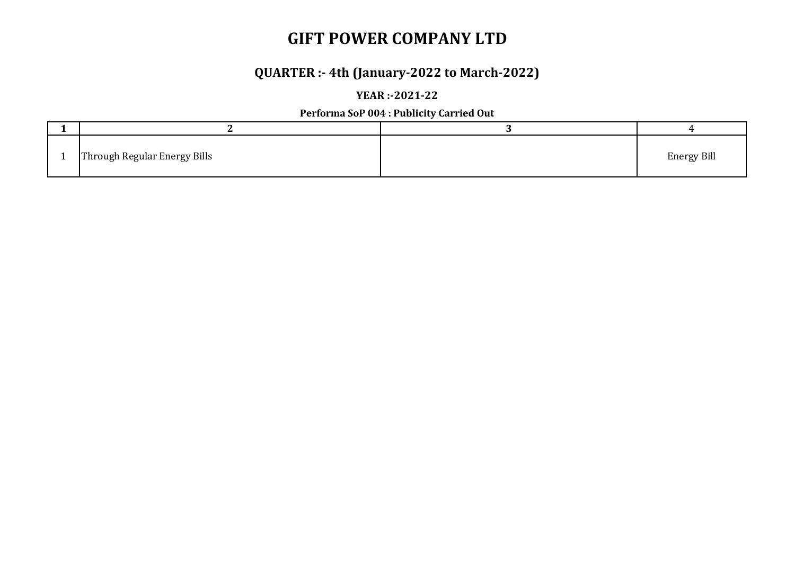## **QUARTER :- 4th (January-2022 to March-2022)**

### **YEAR :-2021-22**

### **Performa SoP 004 : Publicity Carried Out**

| Through Regular Energy Bills | <b>Energy Bill</b> |
|------------------------------|--------------------|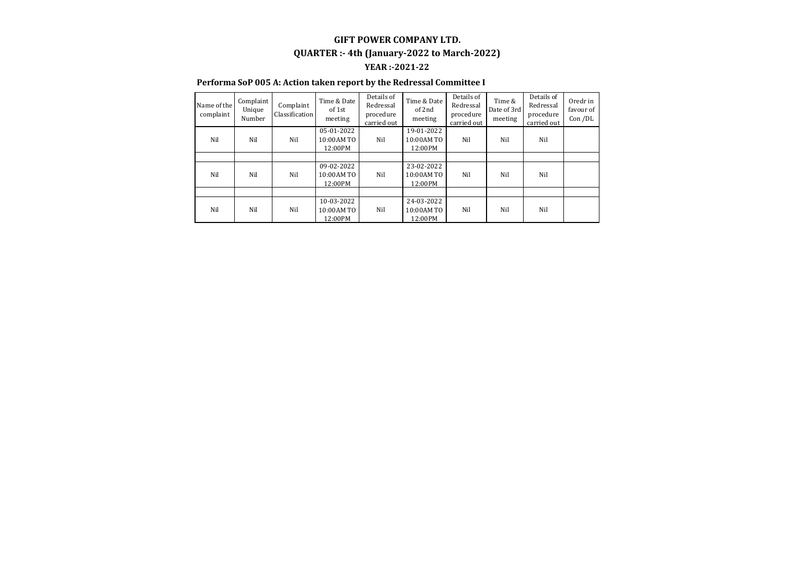### **GIFT POWER COMPANY LTD. YEAR :-2021-22 QUARTER :- 4th (January-2022 to March-2022)**

#### **Performa SoP 005 A: Action taken report by the Redressal Committee I**

| Name of the<br>complaint | Complaint<br>Unique<br>Number | Complaint<br>Classification | Time & Date<br>of 1st<br>meeting     | Details of<br>Redressal<br>procedure<br>carried out | Time & Date<br>of 2nd<br>meeting    | Details of<br>Redressal<br>procedure<br>carried out | Time &<br>Date of 3rd<br>meeting | Details of<br>Redressal<br>procedure<br>carried out | Oredr in<br>favour of<br>Con /DL |
|--------------------------|-------------------------------|-----------------------------|--------------------------------------|-----------------------------------------------------|-------------------------------------|-----------------------------------------------------|----------------------------------|-----------------------------------------------------|----------------------------------|
| Nil                      | Nil                           | Nil                         | 05-01-2022<br>10:00 AM TO<br>12:00PM | Nil                                                 | 19-01-2022<br>10:00AM TO<br>12:00PM | Nil                                                 | Nil                              | Nil                                                 |                                  |
|                          |                               |                             |                                      |                                                     |                                     |                                                     |                                  |                                                     |                                  |
| Nil                      | Nil                           | Nil                         | 09-02-2022<br>10:00 AM TO<br>12:00PM | Nil                                                 | 23-02-2022<br>10:00AM TO<br>12:00PM | Nil                                                 | Nil                              | Nil                                                 |                                  |
|                          |                               |                             |                                      |                                                     |                                     |                                                     |                                  |                                                     |                                  |
| Nil                      | Nil                           | Nil                         | 10-03-2022<br>10:00 AM TO<br>12:00PM | Nil                                                 | 24-03-2022<br>10:00AM TO<br>12:00PM | Nil                                                 | Nil                              | Nil                                                 |                                  |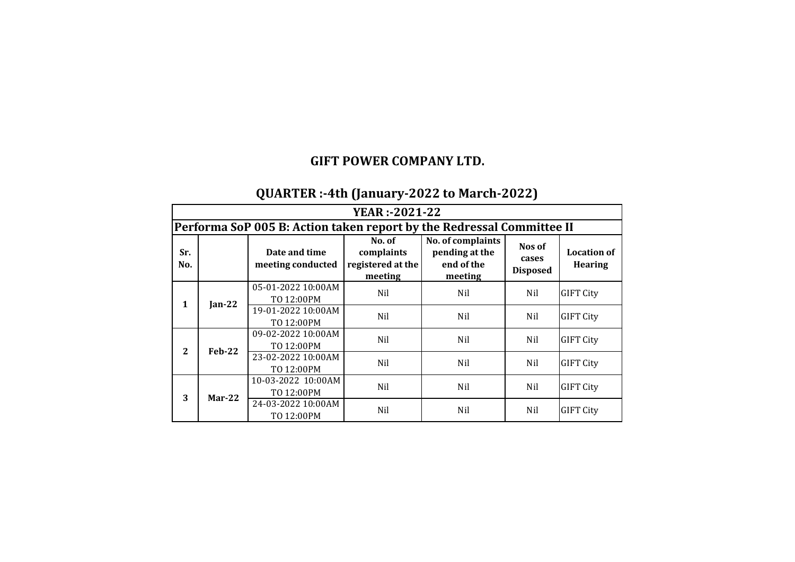## **QUARTER :-4th (January-2022 to March-2022)**

|            | <b>YEAR</b> :-2021-22 |                                                                       |                                                      |                                                              |                                    |                                      |  |  |  |  |
|------------|-----------------------|-----------------------------------------------------------------------|------------------------------------------------------|--------------------------------------------------------------|------------------------------------|--------------------------------------|--|--|--|--|
|            |                       | Performa SoP 005 B: Action taken report by the Redressal Committee II |                                                      |                                                              |                                    |                                      |  |  |  |  |
| Sr.<br>No. |                       | Date and time<br>meeting conducted                                    | No. of<br>complaints<br>registered at the<br>meeting | No. of complaints<br>pending at the<br>end of the<br>meeting | Nos of<br>cases<br><b>Disposed</b> | <b>Location of</b><br><b>Hearing</b> |  |  |  |  |
| 1          | Jan-22                | 05-01-2022 10:00AM<br>TO 12:00PM                                      | Nil                                                  | Nil                                                          | Nil                                | <b>GIFT City</b>                     |  |  |  |  |
|            |                       | 19-01-2022 10:00AM<br>TO 12:00PM                                      | Nil                                                  | Nil                                                          | Nil                                | <b>GIFT City</b>                     |  |  |  |  |
| 2          |                       | 09-02-2022 10:00AM<br>TO 12:00PM                                      | Nil                                                  | Nil                                                          | Nil                                | <b>GIFT City</b>                     |  |  |  |  |
|            | $Feb-22$              | 23-02-2022 10:00AM<br>TO 12:00PM                                      | Nil                                                  | Nil                                                          | Nil                                | <b>GIFT City</b>                     |  |  |  |  |
| 3          | $Mar-22$              | 10-03-2022 10:00AM<br>TO 12:00PM                                      | Nil                                                  | Nil                                                          | Nil                                | <b>GIFT City</b>                     |  |  |  |  |
|            |                       | 24-03-2022 10:00AM<br>TO 12:00PM                                      | Nil                                                  | Nil                                                          | Nil                                | <b>GIFT City</b>                     |  |  |  |  |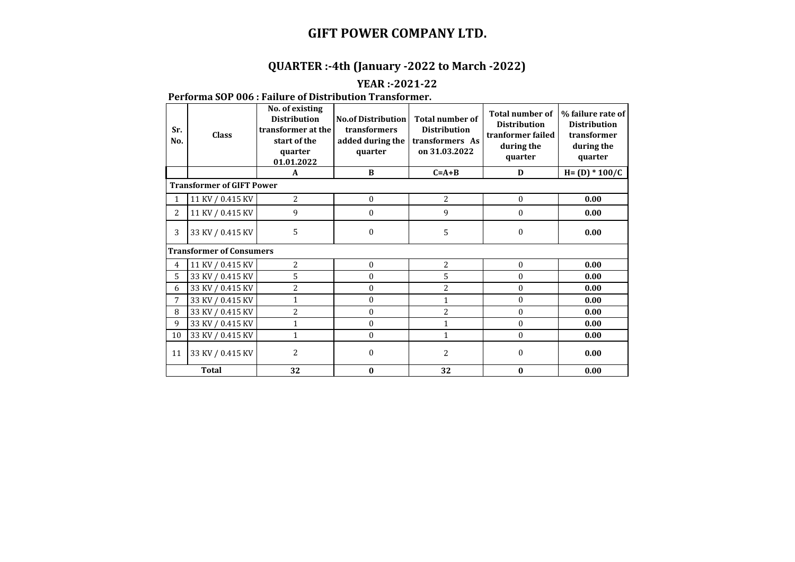### **QUARTER :-4th (January -2022 to March -2022)**

### **YEAR :-2021-22**

### **Performa SOP 006 : Failure of Distribution Transformer.**

| Sr.<br>No.     | <b>Class</b>                     | No. of existing<br><b>Distribution</b><br>transformer at the<br>start of the<br>quarter<br>01.01.2022 | <b>No.of Distribution</b><br>transformers<br>added during the<br>quarter | <b>Total number of</b><br><b>Distribution</b><br>transformers As<br>on 31.03.2022 | <b>Total number of</b><br><b>Distribution</b><br>tranformer failed<br>during the<br>quarter | % failure rate of<br><b>Distribution</b><br>transformer<br>during the<br>quarter |  |  |  |  |  |
|----------------|----------------------------------|-------------------------------------------------------------------------------------------------------|--------------------------------------------------------------------------|-----------------------------------------------------------------------------------|---------------------------------------------------------------------------------------------|----------------------------------------------------------------------------------|--|--|--|--|--|
|                |                                  | A                                                                                                     | $\bf{B}$                                                                 | $C = A + B$                                                                       | D                                                                                           | $H = (D) * 100/C$                                                                |  |  |  |  |  |
|                | <b>Transformer of GIFT Power</b> |                                                                                                       |                                                                          |                                                                                   |                                                                                             |                                                                                  |  |  |  |  |  |
|                | 11 KV / 0.415 KV                 | $\overline{c}$                                                                                        | $\boldsymbol{0}$                                                         | 2                                                                                 | $\mathbf{0}$                                                                                | 0.00                                                                             |  |  |  |  |  |
| 2              | 11 KV / 0.415 KV                 | 9                                                                                                     | $\mathbf{0}$                                                             | 9                                                                                 | $\mathbf{0}$                                                                                | 0.00                                                                             |  |  |  |  |  |
| 3              | 33 KV / 0.415 KV                 | 5                                                                                                     | $\boldsymbol{0}$                                                         | 5                                                                                 | $\mathbf{0}$                                                                                | 0.00                                                                             |  |  |  |  |  |
|                | <b>Transformer of Consumers</b>  |                                                                                                       |                                                                          |                                                                                   |                                                                                             |                                                                                  |  |  |  |  |  |
| $\overline{4}$ | 11 KV / 0.415 KV                 | 2                                                                                                     | $\Omega$                                                                 | 2                                                                                 | $\Omega$                                                                                    | 0.00                                                                             |  |  |  |  |  |
| 5              | 33 KV / 0.415 KV                 | 5                                                                                                     | 0                                                                        | 5                                                                                 | 0                                                                                           | 0.00                                                                             |  |  |  |  |  |
| 6              | 33 KV / 0.415 KV                 | 2                                                                                                     | $\theta$                                                                 | $\overline{2}$                                                                    | $\theta$                                                                                    | 0.00                                                                             |  |  |  |  |  |
| 7              | 33 KV / 0.415 KV                 | 1                                                                                                     | $\boldsymbol{0}$                                                         | 1                                                                                 | $\boldsymbol{0}$                                                                            | 0.00                                                                             |  |  |  |  |  |
| 8              | 33 KV / 0.415 KV                 | 2                                                                                                     | $\boldsymbol{0}$                                                         | $\overline{2}$                                                                    | $\boldsymbol{0}$                                                                            | 0.00                                                                             |  |  |  |  |  |
| 9              | 33 KV / 0.415 KV                 | 1                                                                                                     | $\boldsymbol{0}$                                                         | $\mathbf{1}$                                                                      | $\theta$                                                                                    | 0.00                                                                             |  |  |  |  |  |
| 10             | 33 KV / 0.415 KV                 | 1                                                                                                     | $\boldsymbol{0}$                                                         | 1                                                                                 | $\theta$                                                                                    | 0.00                                                                             |  |  |  |  |  |
| 11             | 33 KV / 0.415 KV                 | $\overline{c}$                                                                                        | $\theta$                                                                 | 2                                                                                 | 0                                                                                           | 0.00                                                                             |  |  |  |  |  |
|                | <b>Total</b>                     | 32                                                                                                    | 0                                                                        | 32                                                                                | $\bf{0}$                                                                                    | 0.00                                                                             |  |  |  |  |  |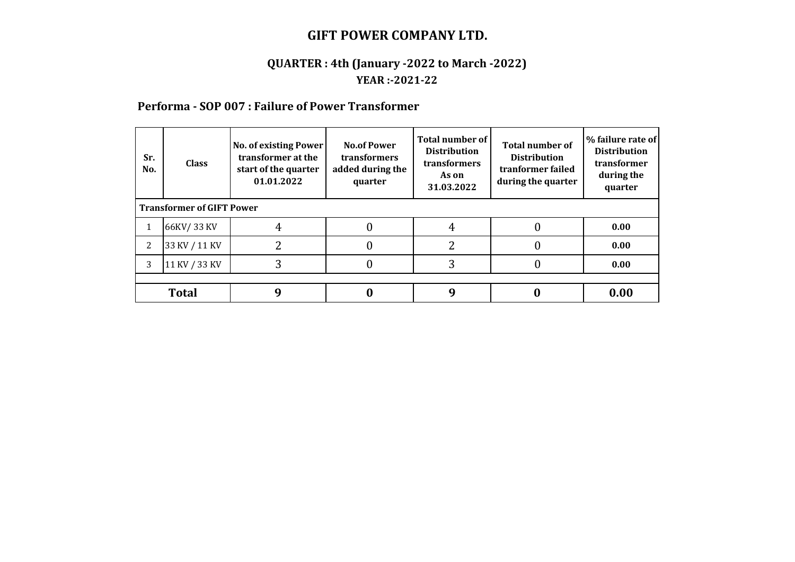### **QUARTER : 4th (January -2022 to March -2022) YEAR :-2021-22**

### **Performa - SOP 007 : Failure of Power Transformer**

| Sr.<br>No.                       | <b>Class</b>  | <b>No. of existing Power</b><br>transformer at the<br>start of the quarter<br>01.01.2022 | <b>No.of Power</b><br>transformers<br>added during the<br>quarter | <b>Total number of</b><br><b>Distribution</b><br>transformers<br>As on<br>31.03.2022 | <b>Total number of</b><br><b>Distribution</b><br>tranformer failed<br>during the quarter | % failure rate of<br><b>Distribution</b><br>transformer<br>during the<br>quarter |  |  |  |
|----------------------------------|---------------|------------------------------------------------------------------------------------------|-------------------------------------------------------------------|--------------------------------------------------------------------------------------|------------------------------------------------------------------------------------------|----------------------------------------------------------------------------------|--|--|--|
| <b>Transformer of GIFT Power</b> |               |                                                                                          |                                                                   |                                                                                      |                                                                                          |                                                                                  |  |  |  |
| $\mathbf{1}$                     | 66KV/33 KV    | 4                                                                                        |                                                                   |                                                                                      |                                                                                          | 0.00                                                                             |  |  |  |
| 2                                | 33 KV / 11 KV |                                                                                          |                                                                   |                                                                                      |                                                                                          | 0.00                                                                             |  |  |  |
| 3                                | 11 KV / 33 KV | 3                                                                                        |                                                                   |                                                                                      |                                                                                          | 0.00                                                                             |  |  |  |
|                                  |               |                                                                                          |                                                                   |                                                                                      |                                                                                          |                                                                                  |  |  |  |
|                                  | <b>Total</b>  | q                                                                                        |                                                                   |                                                                                      |                                                                                          | 0.00                                                                             |  |  |  |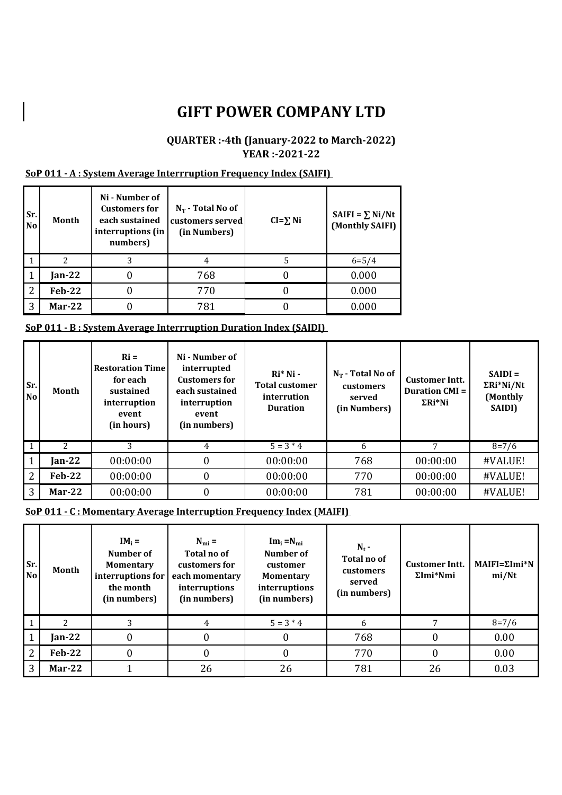### **QUARTER :-4th (January-2022 to March-2022) YEAR :-2021-22**

#### **SoP 011 - A : System Average Interrruption Frequency Index (SAIFI)**

| Sr.<br><b>No</b> | Month         | Ni - Number of<br><b>Customers for</b><br>each sustained<br>interruptions (in<br>numbers) | $N_T$ - Total No of<br>customers served<br>(in Numbers) | $CI = \sum Ni$ | SAIFI = $\Sigma$ Ni/Nt<br>(Monthly SAIFI) |
|------------------|---------------|-------------------------------------------------------------------------------------------|---------------------------------------------------------|----------------|-------------------------------------------|
|                  | 2             |                                                                                           | 4                                                       |                | $6 = 5/4$                                 |
|                  | Jan-22        |                                                                                           | 768                                                     |                | 0.000                                     |
| 2                | <b>Feb-22</b> |                                                                                           | 770                                                     |                | 0.000                                     |
| 3                | $Mar-22$      |                                                                                           | 781                                                     |                | 0.000                                     |

#### **SoP 011 - B : System Average Interrruption Duration Index (SAIDI)**

| Sr.<br>N <sub>o</sub> | Month    | $\mathbf{R}$ i =<br><b>Restoration Time</b><br>for each<br>sustained<br>interruption<br>event<br>(in hours) | Ni - Number of<br>interrupted<br><b>Customers for</b><br>each sustained<br>interruption<br>event<br>(in numbers) | $Ri*Ni$<br><b>Total customer</b><br>interrution<br><b>Duration</b> | $N_T$ - Total No of<br>customers<br>served<br>(in Numbers) | <b>Customer Intt.</b><br><b>Duration CMI =</b><br>$\Sigma Ri^*Ni$ | $SAIDI =$<br>$\Sigma Ri^*Ni/Nt$<br>(Monthly<br>SAIDI) |
|-----------------------|----------|-------------------------------------------------------------------------------------------------------------|------------------------------------------------------------------------------------------------------------------|--------------------------------------------------------------------|------------------------------------------------------------|-------------------------------------------------------------------|-------------------------------------------------------|
|                       |          |                                                                                                             | 4                                                                                                                | $5 = 3 * 4$                                                        | 6                                                          |                                                                   | $8 = 7/6$                                             |
| -1                    | $Jan-22$ | 00:00:00                                                                                                    | $\boldsymbol{0}$                                                                                                 | 00:00:00                                                           | 768                                                        | 00:00:00                                                          | #VALUE!                                               |
| 2                     | $Feb-22$ | 00:00:00                                                                                                    | $\boldsymbol{0}$                                                                                                 | 00:00:00                                                           | 770                                                        | 00:00:00                                                          | #VALUE!                                               |
| 3                     | $Mar-22$ | 00:00:00                                                                                                    | $\boldsymbol{0}$                                                                                                 | 00:00:00                                                           | 781                                                        | 00:00:00                                                          | #VALUE!                                               |

**SoP 011 - C : Momentary Average Interruption Frequency Index (MAIFI)** 

| Sr.<br>N <sub>o</sub> | Month          | $IM_i =$<br>Number of<br><b>Momentary</b><br>interruptions for<br>the month<br>(in numbers) | $N_{\text{mi}} =$<br>Total no of<br>customers for<br>each momentary<br>interruptions<br>(in numbers) | $Im_i = N_{mi}$<br>Number of<br>customer<br><b>Momentary</b><br>interruptions<br>(in numbers) | $N_t$ -<br>Total no of<br>customers<br>served<br>(in numbers) | <b>Customer Intt.</b><br>$\Sigma$ Imi*Nmi | $MAIFI = \Sigma Imi*N$<br>mi/Nt |
|-----------------------|----------------|---------------------------------------------------------------------------------------------|------------------------------------------------------------------------------------------------------|-----------------------------------------------------------------------------------------------|---------------------------------------------------------------|-------------------------------------------|---------------------------------|
|                       | $\overline{2}$ | 3                                                                                           | 4                                                                                                    | $5 = 3 * 4$                                                                                   | 6                                                             |                                           | $8 = 7/6$                       |
|                       | $Jan-22$       |                                                                                             | $\boldsymbol{0}$                                                                                     | 0                                                                                             | 768                                                           |                                           | 0.00                            |
| 2                     | $Feb-22$       |                                                                                             | 0                                                                                                    |                                                                                               | 770                                                           | 0                                         | 0.00                            |
| 3                     | $Mar-22$       |                                                                                             | 26                                                                                                   | 26                                                                                            | 781                                                           | 26                                        | 0.03                            |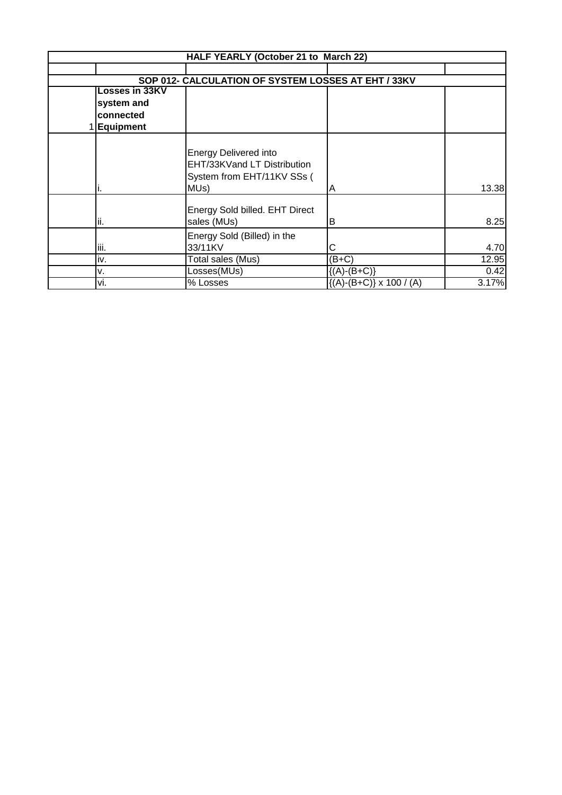|                  | HALF YEARLY (October 21 to March 22)                |                                 |       |
|------------------|-----------------------------------------------------|---------------------------------|-------|
|                  |                                                     |                                 |       |
|                  | SOP 012- CALCULATION OF SYSTEM LOSSES AT EHT / 33KV |                                 |       |
| Losses in 33KV   |                                                     |                                 |       |
| system and       |                                                     |                                 |       |
| connected        |                                                     |                                 |       |
| <b>Equipment</b> |                                                     |                                 |       |
|                  |                                                     |                                 |       |
|                  | <b>Energy Delivered into</b>                        |                                 |       |
|                  | EHT/33KVand LT Distribution                         |                                 |       |
|                  | System from EHT/11KV SSs (                          |                                 |       |
| ı.               | MUs)                                                | Α                               | 13.38 |
|                  |                                                     |                                 |       |
|                  | Energy Sold billed. EHT Direct                      |                                 |       |
| ii.              | sales (MUs)                                         | в                               | 8.25  |
|                  | Energy Sold (Billed) in the                         |                                 |       |
| iii.             | 33/11KV                                             | С                               | 4.70  |
| iv.              | Total sales (Mus)                                   | $(B+C)$                         | 12.95 |
| ۷.               | Losses(MUs)                                         | ${(A)-(B+C)}$                   | 0.42  |
| vi.              | % Losses                                            | $\{(A)-(B+C)\}\times 100$ / (A) | 3.17% |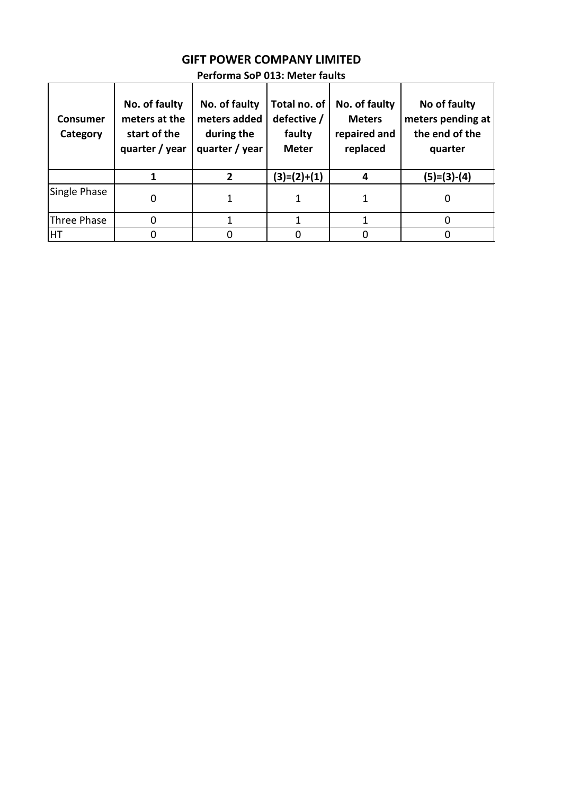## **GIFT POWER COMPANY LIMITED**

| <b>Consumer</b><br>Category | No. of faulty<br>meters at the<br>start of the<br>quarter / year | No. of faulty<br>meters added<br>during the<br>quarter / year | Total no. of<br>defective /<br>faulty<br><b>Meter</b> | No. of faulty<br><b>Meters</b><br>repaired and<br>replaced | No of faulty<br>meters pending at<br>the end of the<br>quarter |
|-----------------------------|------------------------------------------------------------------|---------------------------------------------------------------|-------------------------------------------------------|------------------------------------------------------------|----------------------------------------------------------------|
|                             |                                                                  | 2                                                             | $(3)=(2)+(1)$                                         |                                                            | $(5)=(3)-(4)$                                                  |
| Single Phase                |                                                                  |                                                               |                                                       |                                                            |                                                                |
| Three Phase                 |                                                                  |                                                               |                                                       |                                                            |                                                                |
| <b>HT</b>                   |                                                                  |                                                               |                                                       |                                                            |                                                                |

### **Performa SoP 013: Meter faults**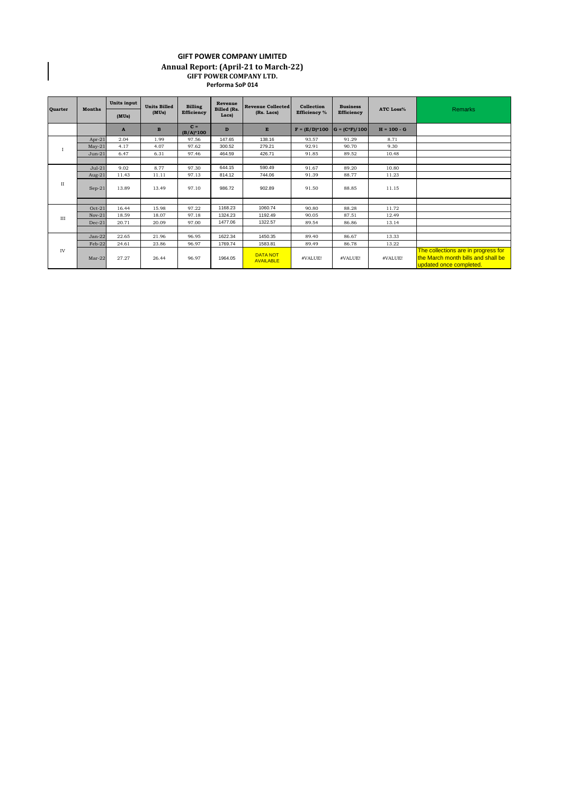#### **GIFT POWER COMPANY LIMITED Annual Report: (April-21 to March-22) GIFT POWER COMPANY LTD. Performa SoP 014**

 $\begin{array}{c} \hline \end{array}$ 

| <b>Quarter</b> | <b>Months</b> | Units input  | <b>Units Billed</b><br>(MUs) | <b>Billing</b><br>Efficiency | Revenue<br><b>Billed</b> (Rs.<br>Lacs) | <b>Revenue Collected</b><br>(Rs. Lacs) | Collection<br><b>Efficiency</b> % | <b>Business</b><br><b>Efficiency</b> | <b>ATC Loss%</b> | <b>Remarks</b>                                                                                       |
|----------------|---------------|--------------|------------------------------|------------------------------|----------------------------------------|----------------------------------------|-----------------------------------|--------------------------------------|------------------|------------------------------------------------------------------------------------------------------|
|                |               | (MUs)        |                              |                              |                                        |                                        |                                   |                                      |                  |                                                                                                      |
|                |               | $\mathbf{A}$ | $\mathbf{B}$                 | $C =$<br>$(B/A)^*100$        | D                                      | E                                      | $F = (E/D)^*100$                  | $G = (C*F)/100$                      | $H = 100 - G$    |                                                                                                      |
|                | $Apr-21$      | 2.04         | 1.99                         | 97.56                        | 147.65                                 | 138.16                                 | 93.57                             | 91.29                                | 8.71             |                                                                                                      |
|                | $May-21$      | 4.17         | 4.07                         | 97.62                        | 300.52                                 | 279.21                                 | 92.91                             | 90.70                                | 9.30             |                                                                                                      |
|                | $Jun-21$      | 6.47         | 6.31                         | 97.46                        | 464.59                                 | 426.71                                 | 91.85                             | 89.52                                | 10.48            |                                                                                                      |
|                |               |              |                              |                              |                                        |                                        |                                   |                                      |                  |                                                                                                      |
| $_{\rm II}$    | $Jul-21$      | 9.02         | 8.77                         | 97.30                        | 644.15                                 | 590.49                                 | 91.67                             | 89.20                                | 10.80            |                                                                                                      |
|                | Aug- $21$     | 11.43        | 11.11                        | 97.13                        | 814.12                                 | 744.06                                 | 91.39                             | 88.77                                | 11.23            |                                                                                                      |
|                | $Sep-21$      | 13.89        | 13.49                        | 97.10                        | 986.72                                 | 902.89                                 | 91.50                             | 88.85                                | 11.15            |                                                                                                      |
|                |               |              |                              |                              |                                        |                                        |                                   |                                      |                  |                                                                                                      |
| III            | $Oct-21$      | 16.44        | 15.98                        | 97.22                        | 1168.23                                | 1060.74                                | 90.80                             | 88.28                                | 11.72            |                                                                                                      |
|                | $Nov-21$      | 18.59        | 18.07                        | 97.18                        | 1324.23                                | 1192.49                                | 90.05                             | 87.51                                | 12.49            |                                                                                                      |
|                | $Dec-21$      | 20.71        | 20.09                        | 97.00                        | 1477.06                                | 1322.57                                | 89.54                             | 86.86                                | 13.14            |                                                                                                      |
|                |               |              |                              |                              |                                        |                                        |                                   |                                      |                  |                                                                                                      |
| IV             | $Jan-22$      | 22.65        | 21.96                        | 96.95                        | 1622.34                                | 1450.35                                | 89.40                             | 86.67                                | 13.33            |                                                                                                      |
|                | Feb-22        | 24.61        | 23.86                        | 96.97                        | 1769.74                                | 1583.81                                | 89.49                             | 86.78                                | 13.22            |                                                                                                      |
|                | $Mar-22$      | 27.27        | 26.44                        | 96.97                        | 1964.05                                | <b>DATA NOT</b><br><b>AVAILABLE</b>    | #VALUE!                           | #VALUE!                              | #VALUE!          | The collections are in progress for<br>the March month bills and shall be<br>updated once completed. |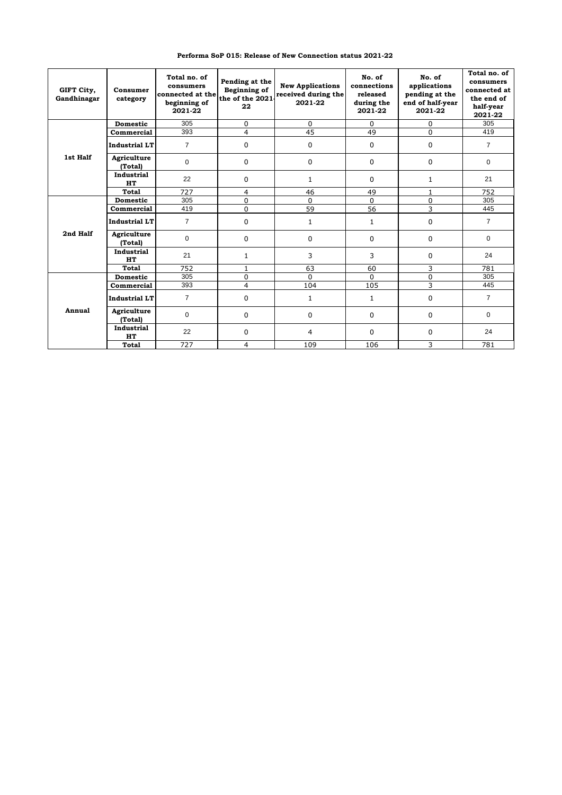| Performa SoP 015: Release of New Connection status 2021-22 |  |  |
|------------------------------------------------------------|--|--|

| GIFT City,<br>Gandhinagar | Consumer<br>category    | Total no. of<br>consumers<br>connected at the<br>beginning of<br>2021-22 | Pending at the<br>Beginning of<br>the of the 2021<br>22 | <b>New Applications</b><br>received during the<br>2021-22 | No. of<br>connections<br>released<br>during the<br>2021-22 | No. of<br>applications<br>pending at the<br>end of half-year<br>2021-22 | Total no. of<br>consumers<br>connected at<br>the end of<br>half-year<br>2021-22 |
|---------------------------|-------------------------|--------------------------------------------------------------------------|---------------------------------------------------------|-----------------------------------------------------------|------------------------------------------------------------|-------------------------------------------------------------------------|---------------------------------------------------------------------------------|
|                           | <b>Domestic</b>         | 305                                                                      | 0                                                       | 0                                                         | $\Omega$                                                   | 0                                                                       | 305                                                                             |
|                           | Commercial              | 393                                                                      | 4                                                       | 45                                                        | 49                                                         | $\Omega$                                                                | 419                                                                             |
|                           | <b>Industrial LT</b>    | $\overline{7}$                                                           | 0                                                       | 0                                                         | $\mathbf 0$                                                | 0                                                                       | $\overline{7}$                                                                  |
| 1st Half                  | Agriculture<br>(Total)  | $\mathbf 0$                                                              | $\Omega$                                                | 0                                                         | $\mathbf 0$                                                | 0                                                                       | $\Omega$                                                                        |
|                           | <b>Industrial</b><br>HT | 22                                                                       | 0                                                       | $\mathbf 1$                                               | $\mathbf 0$                                                | $\mathbf{1}$                                                            | 21                                                                              |
|                           | Total                   | 727                                                                      | 4                                                       | 46                                                        | 49                                                         | $\mathbf{1}$                                                            | 752                                                                             |
|                           | <b>Domestic</b>         | 305                                                                      | 0                                                       | 0                                                         | $\Omega$                                                   | $\Omega$                                                                | 305                                                                             |
|                           | Commercial              | 419                                                                      | 0                                                       | 59                                                        | 56                                                         | 3                                                                       | 445                                                                             |
|                           | <b>Industrial LT</b>    | $\overline{7}$                                                           | 0                                                       | $\mathbf{1}$                                              | 1                                                          | 0                                                                       | $\overline{7}$                                                                  |
| 2nd Half                  | Agriculture<br>(Total)  | 0                                                                        | 0                                                       | 0                                                         | 0                                                          | 0                                                                       | $\Omega$                                                                        |
|                           | <b>Industrial</b><br>HT | 21                                                                       | 1                                                       | 3                                                         | 3                                                          | 0                                                                       | 24                                                                              |
|                           | <b>Total</b>            | 752                                                                      | 1                                                       | 63                                                        | 60                                                         | 3                                                                       | 781                                                                             |
|                           | <b>Domestic</b>         | 305                                                                      | 0                                                       | $\Omega$                                                  | $\Omega$                                                   | $\Omega$                                                                | 305                                                                             |
|                           | Commercial              | 393                                                                      | 4                                                       | 104                                                       | 105                                                        | 3                                                                       | 445                                                                             |
|                           | <b>Industrial LT</b>    | $\overline{7}$                                                           | 0                                                       | $\mathbf{1}$                                              | $\mathbf{1}$                                               | 0                                                                       | $\overline{7}$                                                                  |
| Annual                    | Agriculture<br>(Total)  | 0                                                                        | 0                                                       | 0                                                         | $\mathbf 0$                                                | 0                                                                       | $\mathbf 0$                                                                     |
|                           | Industrial<br>HT        | 22                                                                       | 0                                                       | 4                                                         | $\Omega$                                                   | 0                                                                       | 24                                                                              |
|                           | <b>Total</b>            | 727                                                                      | 4                                                       | 109                                                       | 106                                                        | 3                                                                       | 781                                                                             |